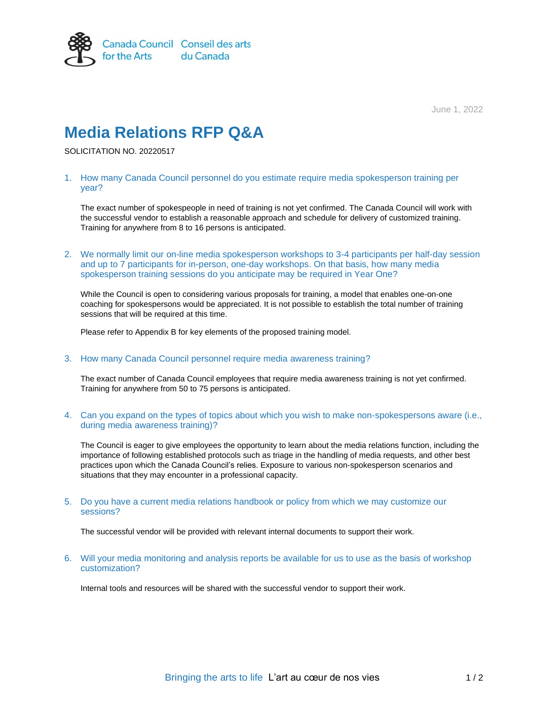

June 1, 2022

# **Media Relations RFP Q&A**

SOLICITATION NO. 20220517

## 1. How many Canada Council personnel do you estimate require media spokesperson training per year?

The exact number of spokespeople in need of training is not yet confirmed. The Canada Council will work with the successful vendor to establish a reasonable approach and schedule for delivery of customized training. Training for anywhere from 8 to 16 persons is anticipated.

2. We normally limit our on-line media spokesperson workshops to 3-4 participants per half-day session and up to 7 participants for in-person, one-day workshops. On that basis, how many media spokesperson training sessions do you anticipate may be required in Year One?

While the Council is open to considering various proposals for training, a model that enables one-on-one coaching for spokespersons would be appreciated. It is not possible to establish the total number of training sessions that will be required at this time.

Please refer to Appendix B for key elements of the proposed training model.

### 3. How many Canada Council personnel require media awareness training?

The exact number of Canada Council employees that require media awareness training is not yet confirmed. Training for anywhere from 50 to 75 persons is anticipated.

## 4. Can you expand on the types of topics about which you wish to make non-spokespersons aware (i.e., during media awareness training)?

The Council is eager to give employees the opportunity to learn about the media relations function, including the importance of following established protocols such as triage in the handling of media requests, and other best practices upon which the Canada Council's relies. Exposure to various non-spokesperson scenarios and situations that they may encounter in a professional capacity.

#### 5. Do you have a current media relations handbook or policy from which we may customize our sessions?

The successful vendor will be provided with relevant internal documents to support their work.

6. Will your media monitoring and analysis reports be available for us to use as the basis of workshop customization?

Internal tools and resources will be shared with the successful vendor to support their work.